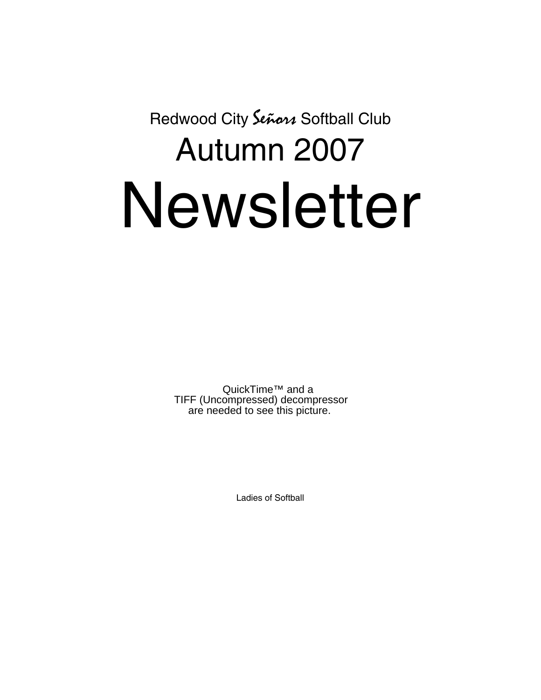Redwood City Señon Softball Club

# Autumn 2007 Newsletter

QuickTime™ and a TIFF (Uncompressed) decompressor are needed to see this picture.

Ladies of Softball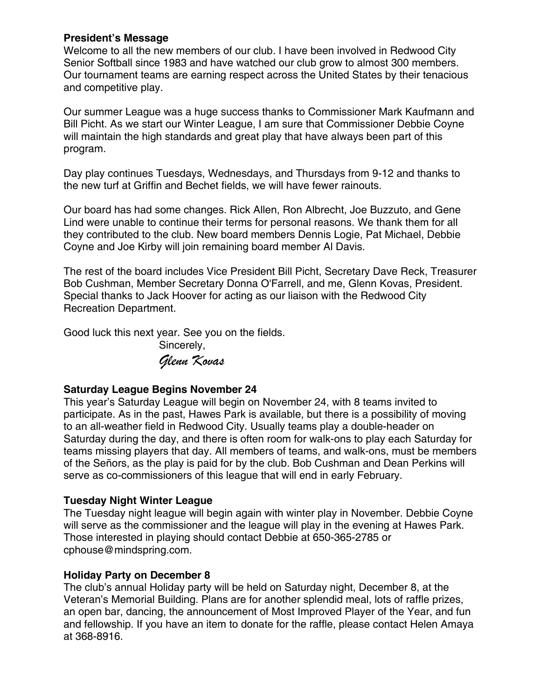## **President's Message**

Welcome to all the new members of our club. I have been involved in Redwood City Senior Softball since 1983 and have watched our club grow to almost 300 members. Our tournament teams are earning respect across the United States by their tenacious and competitive play.

Our summer League was a huge success thanks to Commissioner Mark Kaufmann and Bill Picht. As we start our Winter League, I am sure that Commissioner Debbie Coyne will maintain the high standards and great play that have always been part of this program.

Day play continues Tuesdays, Wednesdays, and Thursdays from 9-12 and thanks to the new turf at Griffin and Bechet fields, we will have fewer rainouts.

Our board has had some changes. Rick Allen, Ron Albrecht, Joe Buzzuto, and Gene Lind were unable to continue their terms for personal reasons. We thank them for all they contributed to the club. New board members Dennis Logie, Pat Michael, Debbie Coyne and Joe Kirby will join remaining board member Al Davis.

The rest of the board includes Vice President Bill Picht, Secretary Dave Reck, Treasurer Bob Cushman, Member Secretary Donna O'Farrell, and me, Glenn Kovas, President. Special thanks to Jack Hoover for acting as our liaison with the Redwood City Recreation Department.

Good luck this next year. See you on the fields.

 Sincerely, *Glenn Kovas* 

# **Saturday League Begins November 24**

This year's Saturday League will begin on November 24, with 8 teams invited to participate. As in the past, Hawes Park is available, but there is a possibility of moving to an all-weather field in Redwood City. Usually teams play a double-header on Saturday during the day, and there is often room for walk-ons to play each Saturday for teams missing players that day. All members of teams, and walk-ons, must be members of the Señors, as the play is paid for by the club. Bob Cushman and Dean Perkins will serve as co-commissioners of this league that will end in early February.

# **Tuesday Night Winter League**

The Tuesday night league will begin again with winter play in November. Debbie Coyne will serve as the commissioner and the league will play in the evening at Hawes Park. Those interested in playing should contact Debbie at 650-365-2785 or cphouse@mindspring.com.

# **Holiday Party on December 8**

The club's annual Holiday party will be held on Saturday night, December 8, at the Veteran's Memorial Building. Plans are for another splendid meal, lots of raffle prizes, an open bar, dancing, the announcement of Most Improved Player of the Year, and fun and fellowship. If you have an item to donate for the raffle, please contact Helen Amaya at 368-8916.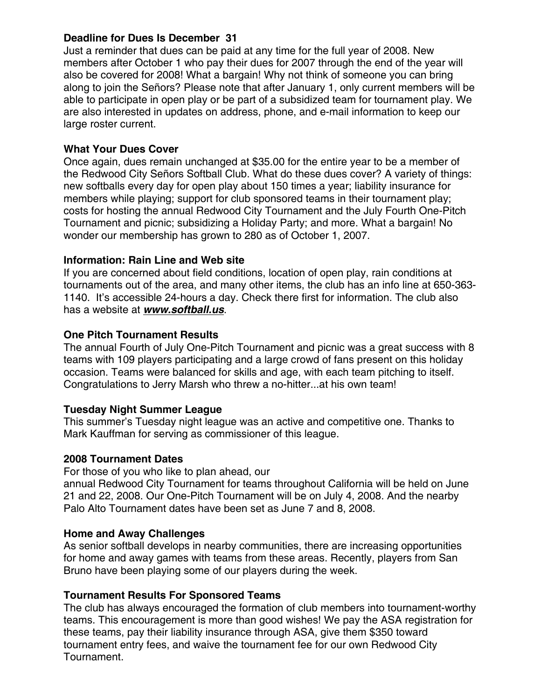## **Deadline for Dues Is December 31**

Just a reminder that dues can be paid at any time for the full year of 2008. New members after October 1 who pay their dues for 2007 through the end of the year will also be covered for 2008! What a bargain! Why not think of someone you can bring along to join the Señors? Please note that after January 1, only current members will be able to participate in open play or be part of a subsidized team for tournament play. We are also interested in updates on address, phone, and e-mail information to keep our large roster current.

# **What Your Dues Cover**

Once again, dues remain unchanged at \$35.00 for the entire year to be a member of the Redwood City Señors Softball Club. What do these dues cover? A variety of things: new softballs every day for open play about 150 times a year; liability insurance for members while playing; support for club sponsored teams in their tournament play; costs for hosting the annual Redwood City Tournament and the July Fourth One-Pitch Tournament and picnic; subsidizing a Holiday Party; and more. What a bargain! No wonder our membership has grown to 280 as of October 1, 2007.

# **Information: Rain Line and Web site**

If you are concerned about field conditions, location of open play, rain conditions at tournaments out of the area, and many other items, the club has an info line at 650-363- 1140. It's accessible 24-hours a day. Check there first for information. The club also has a website at *www.softball.us*.

# **One Pitch Tournament Results**

The annual Fourth of July One-Pitch Tournament and picnic was a great success with 8 teams with 109 players participating and a large crowd of fans present on this holiday occasion. Teams were balanced for skills and age, with each team pitching to itself. Congratulations to Jerry Marsh who threw a no-hitter...at his own team!

## **Tuesday Night Summer League**

This summer's Tuesday night league was an active and competitive one. Thanks to Mark Kauffman for serving as commissioner of this league.

## **2008 Tournament Dates**

For those of you who like to plan ahead, our annual Redwood City Tournament for teams throughout California will be held on June 21 and 22, 2008. Our One-Pitch Tournament will be on July 4, 2008. And the nearby Palo Alto Tournament dates have been set as June 7 and 8, 2008.

## **Home and Away Challenges**

As senior softball develops in nearby communities, there are increasing opportunities for home and away games with teams from these areas. Recently, players from San Bruno have been playing some of our players during the week.

## **Tournament Results For Sponsored Teams**

The club has always encouraged the formation of club members into tournament-worthy teams. This encouragement is more than good wishes! We pay the ASA registration for these teams, pay their liability insurance through ASA, give them \$350 toward tournament entry fees, and waive the tournament fee for our own Redwood City Tournament.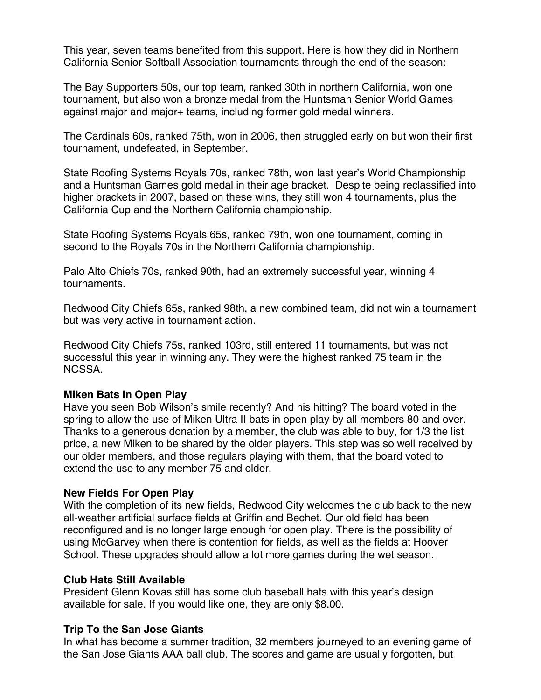This year, seven teams benefited from this support. Here is how they did in Northern California Senior Softball Association tournaments through the end of the season:

The Bay Supporters 50s, our top team, ranked 30th in northern California, won one tournament, but also won a bronze medal from the Huntsman Senior World Games against major and major+ teams, including former gold medal winners.

The Cardinals 60s, ranked 75th, won in 2006, then struggled early on but won their first tournament, undefeated, in September.

State Roofing Systems Royals 70s, ranked 78th, won last year's World Championship and a Huntsman Games gold medal in their age bracket. Despite being reclassified into higher brackets in 2007, based on these wins, they still won 4 tournaments, plus the California Cup and the Northern California championship.

State Roofing Systems Royals 65s, ranked 79th, won one tournament, coming in second to the Royals 70s in the Northern California championship.

Palo Alto Chiefs 70s, ranked 90th, had an extremely successful year, winning 4 tournaments.

Redwood City Chiefs 65s, ranked 98th, a new combined team, did not win a tournament but was very active in tournament action.

Redwood City Chiefs 75s, ranked 103rd, still entered 11 tournaments, but was not successful this year in winning any. They were the highest ranked 75 team in the NCSSA.

#### **Miken Bats In Open Play**

Have you seen Bob Wilson's smile recently? And his hitting? The board voted in the spring to allow the use of Miken Ultra II bats in open play by all members 80 and over. Thanks to a generous donation by a member, the club was able to buy, for 1/3 the list price, a new Miken to be shared by the older players. This step was so well received by our older members, and those regulars playing with them, that the board voted to extend the use to any member 75 and older.

## **New Fields For Open Play**

With the completion of its new fields, Redwood City welcomes the club back to the new all-weather artificial surface fields at Griffin and Bechet. Our old field has been reconfigured and is no longer large enough for open play. There is the possibility of using McGarvey when there is contention for fields, as well as the fields at Hoover School. These upgrades should allow a lot more games during the wet season.

## **Club Hats Still Available**

President Glenn Kovas still has some club baseball hats with this year's design available for sale. If you would like one, they are only \$8.00.

## **Trip To the San Jose Giants**

In what has become a summer tradition, 32 members journeyed to an evening game of the San Jose Giants AAA ball club. The scores and game are usually forgotten, but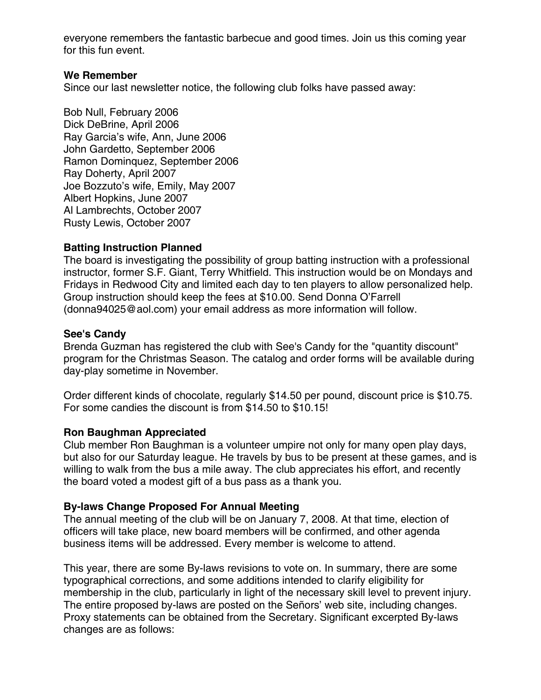everyone remembers the fantastic barbecue and good times. Join us this coming year for this fun event.

#### **We Remember**

Since our last newsletter notice, the following club folks have passed away:

Bob Null, February 2006 Dick DeBrine, April 2006 Ray Garcia's wife, Ann, June 2006 John Gardetto, September 2006 Ramon Dominquez, September 2006 Ray Doherty, April 2007 Joe Bozzuto's wife, Emily, May 2007 Albert Hopkins, June 2007 Al Lambrechts, October 2007 Rusty Lewis, October 2007

## **Batting Instruction Planned**

The board is investigating the possibility of group batting instruction with a professional instructor, former S.F. Giant, Terry Whitfield. This instruction would be on Mondays and Fridays in Redwood City and limited each day to ten players to allow personalized help. Group instruction should keep the fees at \$10.00. Send Donna O'Farrell (donna94025@aol.com) your email address as more information will follow.

## **See's Candy**

Brenda Guzman has registered the club with See's Candy for the "quantity discount" program for the Christmas Season. The catalog and order forms will be available during day-play sometime in November.

Order different kinds of chocolate, regularly \$14.50 per pound, discount price is \$10.75. For some candies the discount is from \$14.50 to \$10.15!

## **Ron Baughman Appreciated**

Club member Ron Baughman is a volunteer umpire not only for many open play days, but also for our Saturday league. He travels by bus to be present at these games, and is willing to walk from the bus a mile away. The club appreciates his effort, and recently the board voted a modest gift of a bus pass as a thank you.

## **By-laws Change Proposed For Annual Meeting**

The annual meeting of the club will be on January 7, 2008. At that time, election of officers will take place, new board members will be confirmed, and other agenda business items will be addressed. Every member is welcome to attend.

This year, there are some By-laws revisions to vote on. In summary, there are some typographical corrections, and some additions intended to clarify eligibility for membership in the club, particularly in light of the necessary skill level to prevent injury. The entire proposed by-laws are posted on the Señors' web site, including changes. Proxy statements can be obtained from the Secretary. Significant excerpted By-laws changes are as follows: